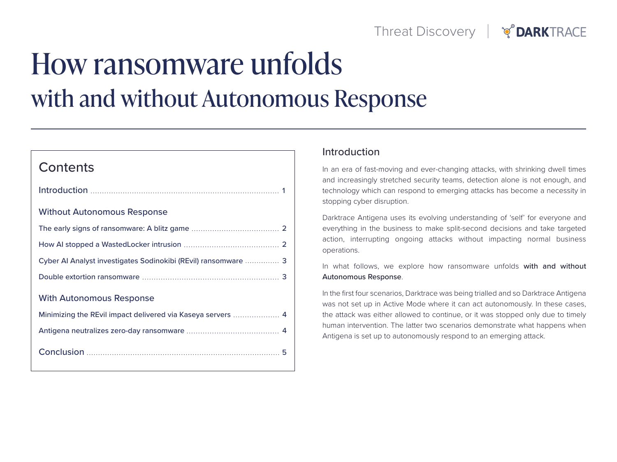

# How ransomware unfolds with and without Autonomous Response

# **Contents**

| <b>Without Autonomous Response</b>                             |
|----------------------------------------------------------------|
|                                                                |
|                                                                |
| Cyber AI Analyst investigates Sodinokibi (REvil) ransomware  3 |
|                                                                |
| <b>With Autonomous Response</b>                                |
| Minimizing the REvil impact delivered via Kaseya servers  4    |
|                                                                |
|                                                                |

### Introduction

In an era of fast-moving and ever-changing attacks, with shrinking dwell times and increasingly stretched security teams, detection alone is not enough, and technology which can respond to emerging attacks has become a necessity in stopping cyber disruption.

Darktrace Antigena uses its evolving understanding of 'self' for everyone and everything in the business to make split-second decisions and take targeted action, interrupting ongoing attacks without impacting normal business operations.

In what follows, we explore how ransomware unfolds with and without Autonomous Response.

In the first four scenarios, Darktrace was being trialled and so Darktrace Antigena was not set up in Active Mode where it can act autonomously. In these cases, the attack was either allowed to continue, or it was stopped only due to timely human intervention. The latter two scenarios demonstrate what happens when Antigena is set up to autonomously respond to an emerging attack.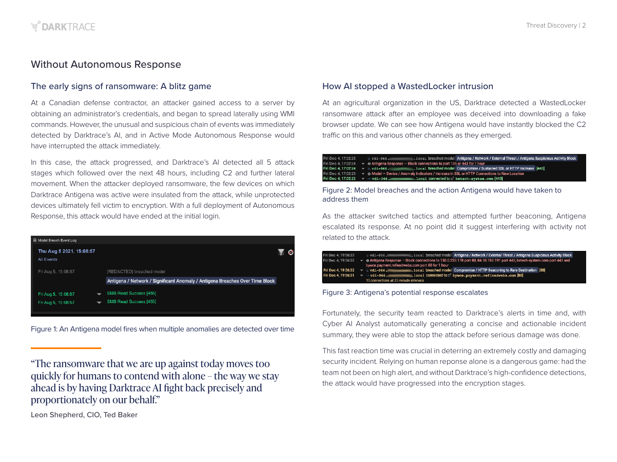# <span id="page-1-0"></span>Without Autonomous Response

#### The early signs of ransomware: A blitz game

At a Canadian defense contractor, an attacker gained access to a server by obtaining an administrator's credentials, and began to spread laterally using WMI commands. However, the unusual and suspicious chain of events was immediately detected by Darktrace's AI, and in Active Mode Autonomous Response would have interrupted the attack immediately.

In this case, the attack progressed, and Darktrace's AI detected all 5 attack stages which followed over the next 48 hours, including C2 and further lateral movement. When the attacker deployed ransomware, the few devices on which Darktrace Antigena was active were insulated from the attack, while unprotected devices ultimately fell victim to encryption. With a full deployment of Autonomous Response, this attack would have ended at the initial login.

| $\equiv$ Model Breach Event Log               |                                                                                                           |  |
|-----------------------------------------------|-----------------------------------------------------------------------------------------------------------|--|
| Thu Aug 5 2021, 15:08:57<br><b>All Events</b> |                                                                                                           |  |
| Fri Aug 5, 15:08:57                           | [REDACTED] breached model<br>Antigena / Network / Significant Anomaly / Antigena Breaches Over Time Block |  |
| Fri Aug 5, 15:08:57<br>Fri Aug 5, 15:08:57    | <b>SMB Read Success [455]</b><br><b>SMB Read Success [455]</b>                                            |  |

Figure 1: An Antigena model fires when multiple anomalies are detected over time

"The ransomware that we are up against today moves too quickly for humans to contend with alone – the way we stay ahead is by having Darktrace AI fight back precisely and proportionately on our behalf."

At an agricultural organization in the US, Darktrace detected a WastedLocker ransomware attack after an employee was deceived into downloading a fake browser update. We can see how Antigena would have instantly blocked the C2 traffic on this and various other channels as they emerged.

| Fri Dec 4.17:02:25 | $\Delta$ vdi-066. |                                                                                                                         | . local breached model Antigena / Network / External Threat / Antigena Suspicious Activity Block                          |  |
|--------------------|-------------------|-------------------------------------------------------------------------------------------------------------------------|---------------------------------------------------------------------------------------------------------------------------|--|
|                    |                   | Fri Dec 4, 17:02:24 $\blacktriangledown$ $\Theta$ Antigena Response $-$ Block connections to port 135 or 443 for 1 hour |                                                                                                                           |  |
|                    |                   |                                                                                                                         | .1oca1 breached model Compromise / Sustained SSL or HTTP Increase [443]                                                   |  |
|                    |                   |                                                                                                                         | Fri Dec 4, 17:02:23 $\bullet$ ⊕ Model – Device / Anomaly Indicators / Increase in SSL or HTTP Connections to New Location |  |
|                    |                   |                                                                                                                         | $\blacksquare$ . local connected to $@$ betech-system.com [443] .                                                         |  |
|                    |                   |                                                                                                                         |                                                                                                                           |  |

#### Figure 2: Model breaches and the action Antigena would have taken to address them

As the attacker switched tactics and attempted further beaconing, Antigena escalated its response. At no point did it suggest interfering with activity not related to the attack.

| Fri Dec 4, 19:56:33 | $\land$ vdi-066.                       | Local breached model Antigena / Network / External Threat / Antigena Suspicious Activity Block                                             |  |  |
|---------------------|----------------------------------------|--------------------------------------------------------------------------------------------------------------------------------------------|--|--|
| Fri Dec 4, 19:56:32 |                                        | $\bullet$ $\bullet$ Antigena Response - Block connections to 130.0.233.178 port 80, 84.38.182.191 port 443, betech-system.com port 443 and |  |  |
|                     |                                        | bywce.payment.refinedwebs.com port 80 for 1 hour                                                                                           |  |  |
| Fri Dec 4, 19:56:32 | $\overline{v}$ a vdi-066.              | 1oca1 breached model Compromise / HTTP Beaconing to Rare Destination [80]                                                                  |  |  |
| Fri Dec 4, 19:56:31 | $\overline{v}$ $\rightarrow$ vdi-066.  | .local connected to a' bywce.payment.refinedwebs.com [80]                                                                                  |  |  |
|                     | 10 connections at 25 minute intervals. |                                                                                                                                            |  |  |

Figure 3: Antigena's potential response escalates

Fortunately, the security team reacted to Darktrace's alerts in time and, with Cyber AI Analyst automatically generating a concise and actionable incident summary, they were able to stop the attack before serious damage was done.

This fast reaction time was crucial in deterring an extremely costly and damaging security incident. Relying on human reponse alone is a dangerous game: had the team not been on high alert, and without Darktrace's high-confidence detections, the attack would have progressed into the encryption stages.

Leon Shepherd, CIO, Ted Baker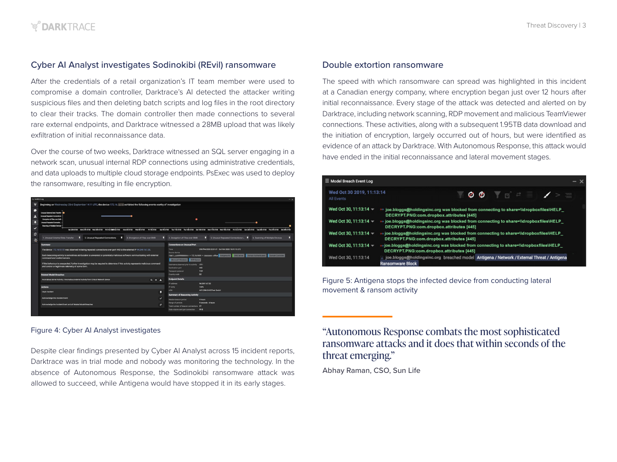# <span id="page-2-0"></span>Cyber AI Analyst investigates Sodinokibi (REvil) ransomware

After the credentials of a retail organization's IT team member were used to compromise a domain controller, Darktrace's AI detected the attacker writing suspicious files and then deleting batch scripts and log files in the root directory to clear their tracks. The domain controller then made connections to several rare external endpoints, and Darktrace witnessed a 28MB upload that was likely exfiltration of initial reconnaissance data.

Over the course of two weeks, Darktrace witnessed an SQL server engaging in a network scan, unusual internal RDP connections using administrative credentials, and data uploads to multiple cloud storage endpoints. PsExec was used to deploy the ransomware, resulting in file encryption.

| to incident Log                 |                                                                                                                                                                                                                                                                                                                                                                                                                                                                                                          |              |              |                                                                                                                                                                   | $- x$                                                                                                                                                                         |
|---------------------------------|----------------------------------------------------------------------------------------------------------------------------------------------------------------------------------------------------------------------------------------------------------------------------------------------------------------------------------------------------------------------------------------------------------------------------------------------------------------------------------------------------------|--------------|--------------|-------------------------------------------------------------------------------------------------------------------------------------------------------------------|-------------------------------------------------------------------------------------------------------------------------------------------------------------------------------|
| է                               | Beginning on Wednesday 23rd September 14:11 UTC, the device 172.16. exhibited the following events worthy of investigation                                                                                                                                                                                                                                                                                                                                                                               |              |              |                                                                                                                                                                   |                                                                                                                                                                               |
| $\bullet$<br>P.<br>$\checkmark$ | <b>Unusual Edemal Date Transfer</b><br><b>Unusual Repeated Connections</b><br>Enonyption of Files over SMB<br>Unusual Repeated Connectio<br>Scenning of Multiple Devices<br>5a125th 07:00 Man 27th 07:00 Wed 29th 07:00 Fit \$1at 08a01et 07:00 Man 3rd 07:00 Wed 5th 07:00 Fit 7th 07:00                                                                                                                                                                                                                |              |              | ٠                                                                                                                                                                 | ٠<br>suveriores πωττήτατας πωτείνατας surrencros Mustrimates Wortenhames Pazinates surzengros πωτείναι πωτείναι surzengros                                                    |
| O                               | 2. Unusual Repeated Connections<br>к<br>п<br>3. Encryption of Files over SMB<br>1. Unusual External Data Transfer                                                                                                                                                                                                                                                                                                                                                                                        |              |              | 4. Encryption of Files over SMB                                                                                                                                   | п<br>5. Unusual Repeated Connections L. F<br>6. Scanning of Multiple Devices<br>в                                                                                             |
| $\overline{\mathbf{B}}$         |                                                                                                                                                                                                                                                                                                                                                                                                                                                                                                          |              |              |                                                                                                                                                                   |                                                                                                                                                                               |
|                                 | Summary                                                                                                                                                                                                                                                                                                                                                                                                                                                                                                  |              |              | <b>Connections on Unusual Port</b>                                                                                                                                |                                                                                                                                                                               |
|                                 | The device 172.16 was observed initiating repeated connections over port 443 to the external IP 94.249.167.35.<br>Such beaconing activity is sometimes attributable to unwanted or potentially malicious software communicating with external<br>command and control servers.<br>If this behaviour is unexpected, further investigation may be required to determine if this activity represents malicious command<br>and control or legitimate telemetry of some form.<br><b>Related Model Breaches</b> |              |              | Time<br>Source device<br>mde1.<br>Microsoft Windows<br>NTP Server<br>Usemame observed prior to activity<br>Destination cort<br>Transport protocol<br>Country code | 29th Sep 2020 22:01:01 - 3rd Oct 2020 18:01:10 UTC<br>Domain Controller<br>$+172.16$ mass $+$ mass<br>office Antigena All DNS Server Domain Authenticated<br>443<br>TCP<br>DE |
|                                 |                                                                                                                                                                                                                                                                                                                                                                                                                                                                                                          |              |              |                                                                                                                                                                   |                                                                                                                                                                               |
|                                 | Anomalous Server Activity / Anomalous External Activity from Critical Network Device                                                                                                                                                                                                                                                                                                                                                                                                                     | $Q \equiv A$ |              | <b>Endgoint Details</b>                                                                                                                                           |                                                                                                                                                                               |
|                                 | Actions<br>Urpin Incident                                                                                                                                                                                                                                                                                                                                                                                                                                                                                |              | в            | IP address<br>IP racity<br>ASN                                                                                                                                    | 94.249.167.35<br>100%<br>AS12586 GHOSTnet GmbH                                                                                                                                |
|                                 |                                                                                                                                                                                                                                                                                                                                                                                                                                                                                                          |              |              | <b>Summary of Beaconing Activity</b>                                                                                                                              |                                                                                                                                                                               |
|                                 | Acknowledge this Incident Event                                                                                                                                                                                                                                                                                                                                                                                                                                                                          |              | $\checkmark$ | Median beacon period                                                                                                                                              | 4 hours                                                                                                                                                                       |
|                                 | Acknowledge the Incident Event and all Related Model Breaches                                                                                                                                                                                                                                                                                                                                                                                                                                            |              | Y.           | Range of periods<br>Total number of beacon connections 27                                                                                                         | 9 seconds - 4 hours                                                                                                                                                           |
|                                 |                                                                                                                                                                                                                                                                                                                                                                                                                                                                                                          |              |              | Data volume sent per connection                                                                                                                                   | 99 B                                                                                                                                                                          |

Despite clear findings presented by Cyber AI Analyst across 15 incident reports, Darktrace was in trial mode and nobody was monitoring the technology. In the absence of Autonomous Response, the Sodinokibi ransomware attack was allowed to succeed, while Antigena would have stopped it in its early stages.

#### Double extortion ransomware

The speed with which ransomware can spread was highlighted in this incident at a Canadian energy company, where encryption began just over 12 hours after initial reconnaissance. Every stage of the attack was detected and alerted on by Darktrace, including network scanning, RDP movement and malicious TeamViewer connections. These activities, along with a subsequent 1.95TB data download and the initiation of encryption, largely occurred out of hours, but were identified as evidence of an attack by Darktrace. With Autonomous Response, this attack would have ended in the initial reconnaissance and lateral movement stages.

| ■ Model Breach Event Log                | – x                                                                                                                                |
|-----------------------------------------|------------------------------------------------------------------------------------------------------------------------------------|
| Wed Oct 30 2019, 11:13:14<br>All Events |                                                                                                                                    |
| Wed Oct 30, 11:13:14 -                  | → joe.bloggs@holdingsinc.org was blocked from connecting to share=\\dropboxfiles\HELP<br>DECRYPT.PNG:com.dropbox.attributes [445]  |
| Wed Oct 30, 11:13:14 -                  | at joe.bloggs@holdingsinc.org was blocked from connecting to share=\\dropboxfiles\HELP<br>DECRYPT.PNG:com.dropbox.attributes [445] |
| Wed Oct 30, 11:13:14 -                  | it joe.bloggs@holdingsinc.org was blocked from connecting to share=\\dropboxfiles\HELP<br>DECRYPT.PNG:com.dropbox.attributes [445] |
| Wed Oct 30, 11:13:14 $-$                | »+joe.bloggs@holdingsinc.org was blocked from connecting to share=\\dropboxfiles\HELP<br>DECRYPT.PNG:com.dropbox.attributes [445]  |
| Wed Oct 30, 11:13:14                    | ioe.bloggs@holdingsinc.org breached model Antigena / Network / External Threat / Antigena<br>Ransomware Block                      |

Figure 5: Antigena stops the infected device from conducting lateral movement & ransom activity

# Figure 4: Cyber AI Analyst investigates **"Autonomous Response combats the most sophisticated** ransomware attacks and it does that within seconds of the threat emerging."

Abhay Raman, CSO, Sun Life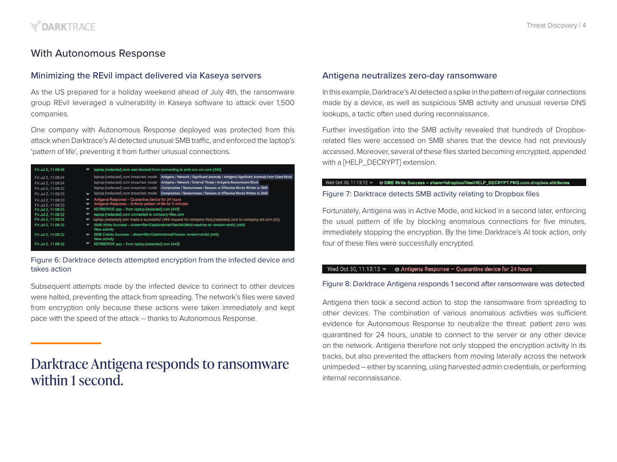# <span id="page-3-0"></span>With Autonomous Response

#### Minimizing the REvil impact delivered via Kaseya servers

As the US prepared for a holiday weekend ahead of July 4th, the ransomware group REvil leveraged a vulnerability in Kaseya software to attack over 1,500 companies.

One company with Autonomous Response deployed was protected from this attack when Darktrace's AI detected unusual SMB traffic, and enforced the laptop's 'pattern of life', preventing it from further unusual connections.

| Fri Jul 2, 11:08:48                                                                                             | laptop-[redacted].com was blocked from connecting to smb-svc-svr.com [445]                                                                                                                                                                                                                                                                 |
|-----------------------------------------------------------------------------------------------------------------|--------------------------------------------------------------------------------------------------------------------------------------------------------------------------------------------------------------------------------------------------------------------------------------------------------------------------------------------|
|                                                                                                                 |                                                                                                                                                                                                                                                                                                                                            |
| Fri Jul 2, 11:08:34                                                                                             | Antigena / Network / Significant Anomaly / Antigena Significant Anomaly from Client Block<br>laptop-fredacted].com breached model                                                                                                                                                                                                          |
| Fri Jul 2, 11:08:34                                                                                             | laptop-[redacted].com breached model<br>Antigena / Network / External Threat / Antigena Ransomware Block                                                                                                                                                                                                                                   |
| Fri Jul 2, 11:08:33                                                                                             | Compromise / Ransomware / Ransom or Offensive Words Written to SMB<br>laptop-fredacted].com breached model                                                                                                                                                                                                                                 |
| Fri Jul 2, 11:08:33                                                                                             | laptop-[redacted].com breached model<br>Compromise / Ransomware / Ransom or Offensive Words Written to SMB                                                                                                                                                                                                                                 |
| Fri Jul 2, 11:08:33<br>Fri Jul 2, 11:08:33<br>Fri Jul 2, 11:08:33<br>Fri Jul 2, 11:08:32<br>Fri Jul 2, 11:08:32 | Antigena Response - Quarantine device for 24 hours<br>Antigena Response - Enforce pattern of life for 5 minutes<br>KERBEROS app - from laptop-[redacted].com [445]<br>laptop-fredacted].com connected to company-files.com<br>laptop-fredacted].com made a successful DNS request for company-files.[redacted].com to company-dcl.com [53] |
| Fri Jul 2, 11:08:32                                                                                             | SMB Write Success - share=file=Data\InternalFiles\943860t-readme.txt version=smb2 [445]<br>New activity                                                                                                                                                                                                                                    |
| Fri Jul 2, 11:08:32                                                                                             | SMB Delete Success - share=file=Data\InternalFiles\xx version=smb2 [445]<br>New activity                                                                                                                                                                                                                                                   |
| Fri Jul 2, 11:08:32                                                                                             | KERBEROS app - from laptop-fredacted].com [445]                                                                                                                                                                                                                                                                                            |

Figure 6: Darktrace detects attempted encryption from the infected device and takes action

were halted, preventing the attack from spreading. The network's files were saved from encryption only because these actions were taken immediately and kept pace with the speed of the attack – thanks to Autonomous Response.

# Darktrace Antigena responds to ransomware within 1 second.

#### Antigena neutralizes zero-day ransomware

In this example, Darktrace's AI detected a spike in the pattern of regular connections made by a device, as well as suspicious SMB activity and unusual reverse DNS lookups, a tactic often used during reconnaissance.

Further investigation into the SMB activity revealed that hundreds of Dropboxrelated files were accessed on SMB shares that the device had not previously accessed. Moreover, several of these files started becoming encrypted, appended with a [HELP\_DECRYPT] extension.

#### Wed Oct 30, 11:13:12 - 6 SMB Write Success - share=\\dropboxfiles\HELP\_DECRYPT.PNG:com.dropbox.attributes

#### Figure 7: Darktrace detects SMB activity relating to Dropbox files

Fortunately, Antigena was in Active Mode, and kicked in a second later, enforcing the usual pattern of life by blocking anomalous connections for five minutes, immediately stopping the encryption. By the time Darktrace's AI took action, only four of these files were successfully encrypted.

#### Wed Oct 30, 11:13:13  $\blacktriangledown$   $\bullet$  Antigena Response - Quarantine device for 24 hours

#### Subsequent attempts made by the infected device to connect to other devices Figure 8: Darktrace Antigena responds 1 second after ransomware was detected

Antigena then took a second action to stop the ransomware from spreading to other devices. The combination of various anomalous activities was sufficient evidence for Autonomous Response to neutralize the threat: patient zero was quarantined for 24 hours, unable to connect to the server or any other device on the network. Antigena therefore not only stopped the encryption activity in its tracks, but also prevented the attackers from moving laterally across the network unimpeded – either by scanning, using harvested admin credentials, or performing internal reconnaissance.